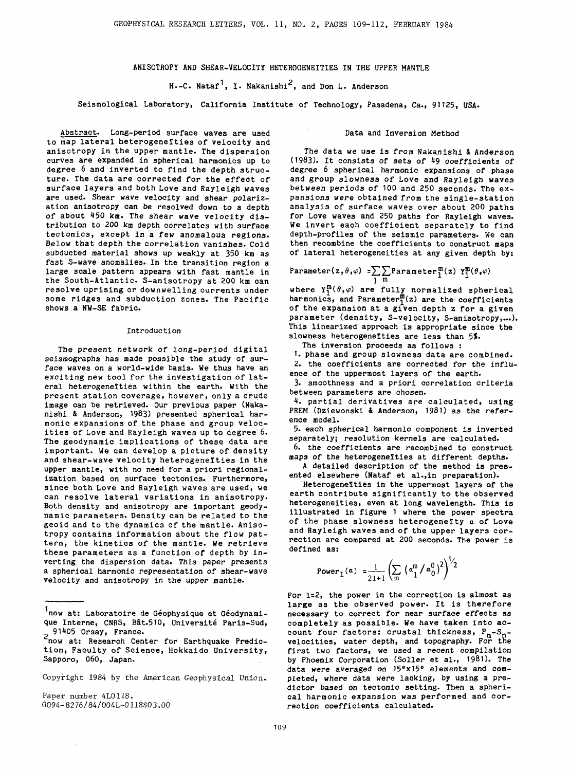# ANISOTROPY AND SHEAR-VELOCITY HETEROGENEITIES IN THE UPPER MANTLE

H.-C. Nataf<sup>1</sup>, I. Nakanishi<sup>2</sup>, and Don L. Anderson

Seismological Laboratory, California Institute of Technology, Pasadena, Ca., 91125, USA.

Abstract. Long-period surface waves are used to map lateral heterogeneities of velocity and anisotropy in the upper mantle. The dispersion curves are expanded in spherical harmonics up to degree 6 and inverted to find the depth structure. The data are corrected for the effect of surface layers and both Love and Rayleigh waves are used. Shear wave velocity and shear polarization anisotropy can be resolved down to a depth of about 450 km. The shear wave velocity distribution to 200 km depth correlates with surface tectonics, except in a few anomalous regions. Below that depth the correlation vanishes. Cold subducted material shows up weakly at 350 km as fast S-wave anomalies. In the transition region a large scale pattern appears with fast mantle in the South-Atlantic. S-anisotropy at 200 km can resolve uprising or downwelling currents under some ridges and subduction zones. The Pacific shows a NW-SE fabric.

#### Introduction

The present network of long-period digital seismographs has made possible the study of surface waves on a world-wide basis. We thus have an exciting new tool for the investigation of lateral heterogeneities within the earth. With the present station coverage, however, only a crude image can be retrieved. Our previous paper (Nakanishi & Anderson, 1983) presented spherical harmonic expansions of the phase and group velocities of Love and Rayleigh waves up to degree 6. The geodynamic implications of these data are important. We can develop a picture of density and shear-wave velocity heterogeneities in the upper mantle, with no need for a priori regionalization based on surface tectonics. Furthermore, since both Love and Rayleigh waves are used, we can resolve lateral variations in anisotropy. Both density and anisotropy are important geodynamic parameters. Density can be related to the geoid and to the dynamics of the mantle. Anisotropy contains information about the flow pattern, the kinetics of the mantle. We retrieve these parameters as a function of depth by inverting the dispersion data. This paper presents a spherical harmonic representation of shear-wave velocity and anisotropy in the upper mantle.

<sup>1</sup>now at: Laboratoire de Géophysique et Géodynamique Interne, CNRS, Bât.510, Université Paris-Sud,<br>
2 91405 Orsay, France.

201405 Orsay, France.<br><sup>2</sup>now at: Research Center for Earthquake Prediction, Faculty of Science, Hokkaido University, Sapporo, 060, Japan.

Copyright 1984 by the American Geophysical Union.

Paper number 4L0118. 0094-8276/84/0041-0118\$03.00

## Data and Inversion Method

The data we use is from Nakanishi & Anderson (1983). It consists of sets of 49 coefficients of degree 6 spherical harmonic expansions of phase and group slowness of Love and Rayleigh waves between periods of 100 and 250 seconds. The expansions were obtained from the single-station analysis of surface waves over about 200 paths for Love waves and 250 paths for Rayleigh waves. We invert each coefficient separately to find depth-profiles of the seismic parameters. We can then recombine the coefficients to construct maps of lateral heterogeneities at any given depth by:

$$
\text{Parameter}(z,\theta,\varphi) = \sum_{1} \sum_{m} \text{Parameter}_{1}^{m}(z) \text{ } Y_{1}^{m}(\theta,\varphi)
$$

where  $Y_1^m(\theta,\varphi)$  are fully normalized spherical harmonics, and Parameter $_1^{m}(z)$  are the coefficients of the expansion at a given depth z for a given parameter (density, S-velocity, S-anisotropy,...). This linearized approach is appropriate since the slowness heterogeneities are less than 5%.

The inversion proceeds as follows :

1. phase and group slowness data are combined. 2. the coefficients are corrected for the influ-

ence of the uppermost layers of the earth. 3. smoothness and a priori correlation criteria

between parameters are chosen.

4. partial derivatives are calculated, using PREM (Dziewonski & Anderson, 1981) as the *refer*ence model.

5. each spherical harmonic component is inverted separately; resolution kernels are calculated.

6. the coefficients *are* recombined to construct maps of the heterogeneities at different depths.

A detailed description of the method is presented elsewhere (Nataf et al.,in preparation).

Heterogeneities in the uppermost layers of the earth contribute significantly to the observed heterogeneities, even at long wavelength. This is illustrated in figure 1 where the power spectra of the phase slowness heterogenerty *a* of Love and Rayleigh waves and of the upper layers correction are compared at 200 seconds. The power is defined as:

Power<sub>1</sub>(a) 
$$
=\frac{1}{21+1}\left(\sum_{m} (a_1^m / a_0^0)^2\right)^{1/2}
$$

For 1=2, the power in the correction is almost as large as the observed power. It is therefore necessary to correct for near surface effects as completely as possible. We have taken into account four factors: crustal thickness, P<sub>n</sub>-S<sub>n</sub>velocities, water depth, and topography. For the first two factors, we used a recent compilation by Phoenix Corporation (Soller et al., 1981). The data were averaged on 15°x15° elements and completed, where data were lacking, by using a predictor based on tectonic setting. Then a spherical harmonic expansion was performed and correction coefficients calculated.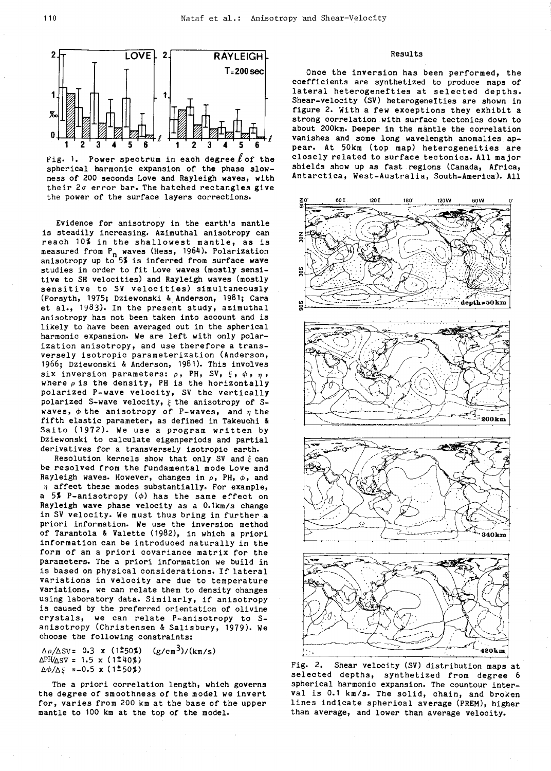

Fig. 1. Power spectrum in each degree  $\ell$  of the spherical harmonic expansion of the phase slowness of 200 seconds Love and Rayleigh waves, with their  $2\sigma$  error bar. The hatched rectangles give the power of the surface layers corrections.

Evidence for anisotropy in the earth's mantle is steadily increasing. Azimuthal anisotropy can reach 10% in the shallowest mantle, as is measured from P<sub>n</sub> waves (Hess, 1964). Polarization anisotropy up to 5% is inferred from surface wave studies in order to fit Love waves (mostly sensitive to SH velocities) and Rayleigh waves (mostly sensitive to SV velocities) simultaneously (Forsyth, 1975; Dziewonski & Anderson, 1981; Cara et al., 1983). In the present study, azimuthal anisotropy has not been taken into account and is likely to have been averaged out in the spherical harmonic expansion. We are left with only polarization anisotropy, and use therefore a transversely isotropic parameterization (Anderson, 1966; Dziewonski & Anderson, 1981). This involves six inversion parameters:  $\rho$ , PH, SV,  $\xi$ ,  $\phi$ ,  $\eta$ , where  $\rho$  is the density, PH is the horizontally polarized P-wave velocity, SV the vertically polarized S-wave velocity,  $\xi$  the anisotropy of Swaves,  $\phi$  the anisotropy of P-waves, and  $\eta$  the fifth elastic parameter, as defined in Takeuchi & Saito (1972). We use a program written by Dziewonski to calculate eigenperiods and partial derivatives for a transversely isotropic earth.

Resolution kernels show that only SV and  $\xi$  can be resolved from the fundamental mode Love and Rayleigh waves. However, changes in  $\rho$ , PH,  $\phi$ , and  $\eta$  affect these modes substantially. For example, a 5% P-anisotropy  $(\phi)$  has the same effect on Rayleigh wave phase velocity as a 0.1km/s change in SV velocity. We must thus bring in further a priori information. We use the inversion method of Tarantola & Valette (1982), in which a priori information can be introduced naturally in the form of an a priori covariance matrix for the parameters. The a priori information we build in is based on physical considerations. If lateral variations in velocity are due to temperature variations, we can relate them to density changes using laboratory data. Similarly, if anisotropy is caused by the preferred orientation of olivine crystals, we can relate P-anisotropy to Sanisotropy (Christensen & Salisbury, 1979). We choose the following constraints:

 $\Delta\rho/\Delta$ SV= 0.3 x (1<sup>±</sup>50%) (g/cm<sup>3</sup>)/(km/s)  $\Delta$ PH/ $\Delta$ SV = 1.5 x (1<sup>±40</sup>%)  $\Delta\phi/\Delta\xi$  =-0.5 x (1±50%)

The a priori correlation length, which governs the degree of smoothness of the model we invert for, varies from 200 km at the base of the upper mantle to 100 km at the top of the model.

## Results

Once the inversion has been performed, the coefficients are synthetized to produce maps of lateral heterogenefties at selected depths. Shear-velocity (SV) heterogeneities are shown in figure 2. With a few exceptions they exhibit a strong correlation with surface tectonics down to about 200km. Deeper in the mantle the correlation vanishes and some long wavelength anomalies appear. At 50km (top map) heterogeneities are closely related to surface tectonics. All major shields show up as fast regions (Canada, Africa, Antarctica, West-Australia, South-America). All



Fig. 2, Shear velocity (SV) distribution maps at selected depths, synthetized from degree 6 spherical harmonic expansion. The countour interval is 0.1 km/s. The solid, chain, and broken lines indicate spherical average (PREM), higher than average, and lower than average velocity.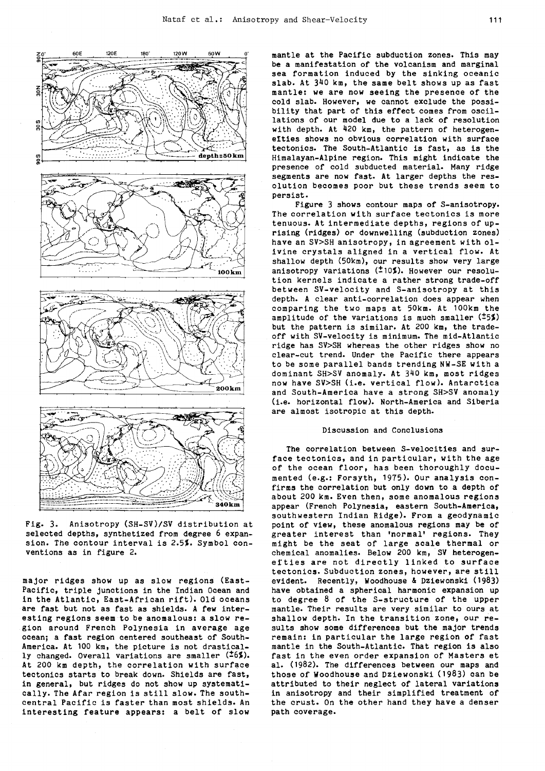

Fig. 3. Anisotropy (SH-SV)/SV distribution at selected depths, synthetized from degree 6 expansion. The contour interval is 2.5%. Symbol conventions as in figure 2.

major ridges show up as slow regions (East-Pacific, triple junctions in the Indian Ocean and in the Atlantic, East-African rift). Old oceans are fast but not as fast as shields. A few interesting regions seem to be anomalous: a slow region around French Polynesia in average age ocean; a fast region centered southeast of South-America. At 100 km, the picture is not drastically changed. Overall variations are smaller  $(26%)$ . At 200 km depth, the correlation with surface tectonics starts to break down. Shields are fast, in general, but ridges do not show up systematically. The Afar region is still slow. The southcentral Pacific is faster than most shields. An interesting feature appears: a belt of slow mantle at the Pacific subduction zones. This may<br>be a manifestation of the volcanism and marginal sea formation induced by the sinking oceanic slab. At 340 km, the same belt shows up as fast mantle: we are now seeing the presence of the cold slab. However, we cannot exclude the possibility that part of this effect comes from oscillations of our model due to a lack of resolution with depth. At 420 km, the pattern of heterogenefties shows no obvious correlation with surface tectonics. The South-Atlantic is fast, as is the Himalayan-Alpine region. This might indicate the presence of cold subducted material. Many ridge segments are now fast. At larger depths the resolution becomes poor but these trends seem to persist.

Figure 3 shows contour maps of S-anisotropy. The correlation with surface tectonics is more tenuous. At intermediate depths, regions of uprising (ridges) or downwelling (subduction zones) have an SV>SH anisotropy, in agreement with olivine crystals aligned in a vertical flow. At shallow depth (50km), our results show very large anisotropy variations  $(10\%)$ . However our resolution kernels indicate a rather strong trade-off between SV-velocity and S-anisotropy at this depth. A clear anti-correlation does appear when comparing the two maps at 50km. At 100km the amplitude of the variations is much smaller  $(15%)$ but the pattern is similar. At 200 km, the tradeoff with SV-velocity is minimum. The mid-Atlantic ridge has SV>SH whereas the other ridges show no clear-cut trend. Under the Pacific there appears to be some parallel bands trending NW-SE with a dominant SH>SV anomaly. At 340 km, most ridges now have SV>SH (i.e. vertical flow). Antarctica and South-America have a strong SH>SV anomaly (i.e. horizontal flow). North-America and Siberia are almost isotropic at this depth.

# Discussion and Conclusions

The correlation between S-velocities and surface tectonics, and in particular, with the age of the ocean floor, has been thoroughly documented (e.g.: Forsyth, 1975). Our analysis confirms the correlation but only down to a depth of about 200 km. Even then, some anomalous regions appear (French Polynesia, eastern South-America, southwestern Indian Ridge). From a geodynamic point of view, these anomalous regions may be of greater interest than •normal' regions. They might be the seat of large scale thermal or chemical anomalies. Below 200 km, SV heterogenefties are not directly linked to surface tectonics. Subduction zones, however, are still evident. Recently, Woodhouse & Dziewonski (1983) have obtained a spherical harmonic expansion up to degree 8 of the S-structure of the upper mantle. Their results are very similar to ours at shallow depth. In the transition zone, our results show some differences but the major trends remain: in particular the large region of fast mantle in the South-Atlantic. That region is also fast in the even order expansion of Masters et al. ( 1982). The differences between our maps and those of Woodhouse and Dziewonski ( 1983) can be attributed to their neglect of lateral variations in anisotropy and their simplified treatment of the crust. On the other hand they have a denser path coverage.